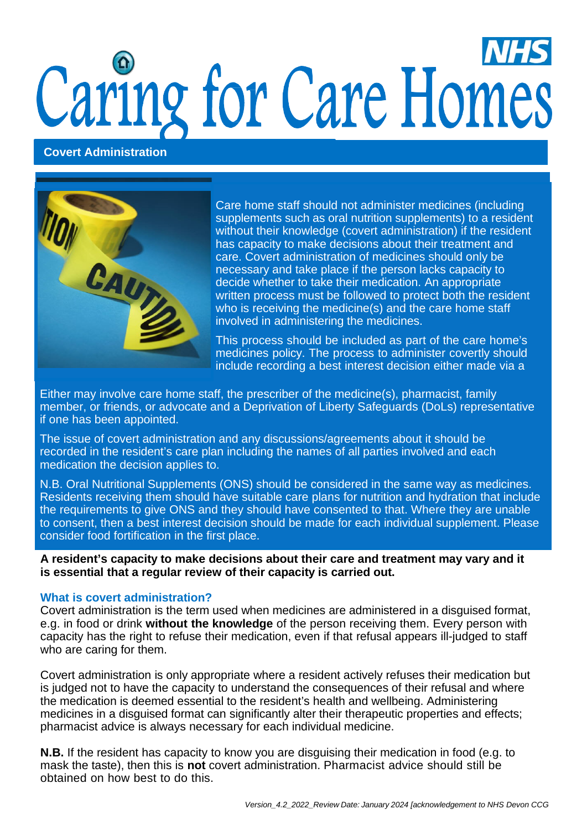# Caring for Care Homes

### **Covert Administration**



Care home staff should not administer medicines (including supplements such as oral nutrition supplements) to a resident without their knowledge (covert administration) if the resident has capacity to make decisions about their treatment and care. Covert administration of medicines should only be necessary and take place if the person lacks capacity to decide whether to take their medication. An appropriate written process must be followed to protect both the resident who is receiving the medicine(s) and the care home staff involved in administering the medicines.

include recording a best interest decision either made via a This process should be included as part of the care home's medicines policy. The process to administer covertly should

Either may involve care home staff, the prescriber of the medicine(s), pharmacist, family member, or friends, or advocate and a Deprivation of Liberty Safeguards (DoLs) representative if one has been appointed.

The issue of covert administration and any discussions/agreements about it should be recorded in the resident's care plan including the names of all parties involved and each medication the decision applies to.

N.B. Oral Nutritional Supplements (ONS) should be considered in the same way as medicines. Residents receiving them should have suitable care plans for nutrition and hydration that include the requirements to give ONS and they should have consented to that. Where they are unable to consent, then a best interest decision should be made for each individual supplement. Please consider food fortification in the first place.

**A resident's capacity to make decisions about their care and treatment may vary and it is essential that a regular review of their capacity is carried out.**

### **What is covert administration?**

Covert administration is the term used when medicines are administered in a disguised format, e.g. in food or drink **without the knowledge** of the person receiving them. Every person with capacity has the right to refuse their medication, even if that refusal appears ill-judged to staff who are caring for them.

Covert administration is only appropriate where a resident actively refuses their medication but is judged not to have the capacity to understand the consequences of their refusal and where the medication is deemed essential to the resident's health and wellbeing. Administering medicines in a disguised format can significantly alter their therapeutic properties and effects; pharmacist advice is always necessary for each individual medicine.

**N.B.** If the resident has capacity to know you are disguising their medication in food (e.g. to mask the taste), then this is **not** covert administration. Pharmacist advice should still be obtained on how best to do this.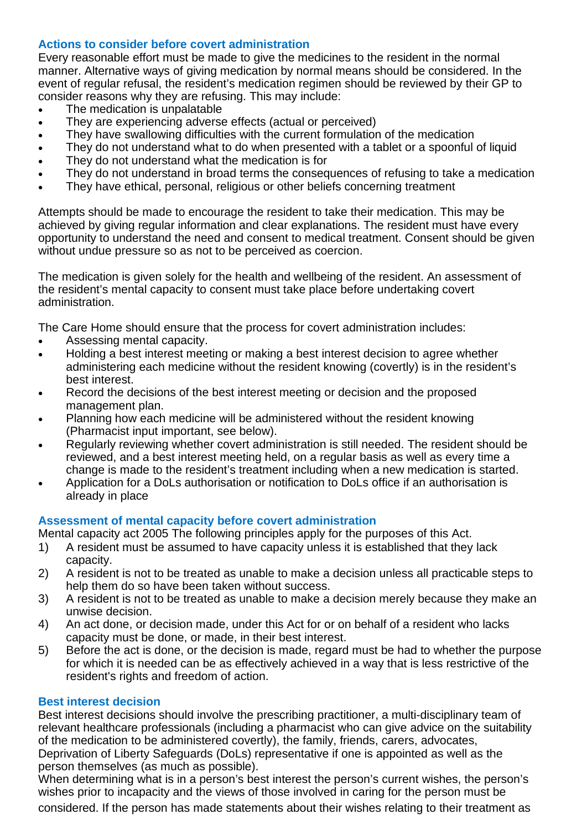# **Actions to consider before covert administration**

Every reasonable effort must be made to give the medicines to the resident in the normal manner. Alternative ways of giving medication by normal means should be considered. In the event of regular refusal, the resident's medication regimen should be reviewed by their GP to consider reasons why they are refusing. This may include:

- The medication is unpalatable
- They are experiencing adverse effects (actual or perceived)
- They have swallowing difficulties with the current formulation of the medication
- They do not understand what to do when presented with a tablet or a spoonful of liquid
- They do not understand what the medication is for
- They do not understand in broad terms the consequences of refusing to take a medication
- They have ethical, personal, religious or other beliefs concerning treatment

Attempts should be made to encourage the resident to take their medication. This may be achieved by giving regular information and clear explanations. The resident must have every opportunity to understand the need and consent to medical treatment. Consent should be given without undue pressure so as not to be perceived as coercion.

The medication is given solely for the health and wellbeing of the resident. An assessment of the resident's mental capacity to consent must take place before undertaking covert administration.

The Care Home should ensure that the process for covert administration includes:

- Assessing mental capacity.
- Holding a best interest meeting or making a best interest decision to agree whether administering each medicine without the resident knowing (covertly) is in the resident's best interest.
- Record the decisions of the best interest meeting or decision and the proposed management plan.
- Planning how each medicine will be administered without the resident knowing (Pharmacist input important, see below).
- Regularly reviewing whether covert administration is still needed. The resident should be reviewed, and a best interest meeting held, on a regular basis as well as every time a change is made to the resident's treatment including when a new medication is started.
- Application for a DoLs authorisation or notification to DoLs office if an authorisation is already in place

# **Assessment of mental capacity before covert administration**

Mental capacity act 2005 The following principles apply for the purposes of this Act.

- 1) A resident must be assumed to have capacity unless it is established that they lack capacity.
- 2) A resident is not to be treated as unable to make a decision unless all practicable steps to help them do so have been taken without success.
- 3) A resident is not to be treated as unable to make a decision merely because they make an unwise decision.
- 4) An act done, or decision made, under this Act for or on behalf of a resident who lacks capacity must be done, or made, in their best interest.
- 5) Before the act is done, or the decision is made, regard must be had to whether the purpose for which it is needed can be as effectively achieved in a way that is less restrictive of the resident's rights and freedom of action.

### **Best interest decision**

Best interest decisions should involve the prescribing practitioner, a multi-disciplinary team of relevant healthcare professionals (including a pharmacist who can give advice on the suitability of the medication to be administered covertly), the family, friends, carers, advocates, Deprivation of Liberty Safeguards (DoLs) representative if one is appointed as well as the person themselves (as much as possible).

When determining what is in a person's best interest the person's current wishes, the person's wishes prior to incapacity and the views of those involved in caring for the person must be considered. If the person has made statements about their wishes relating to their treatment as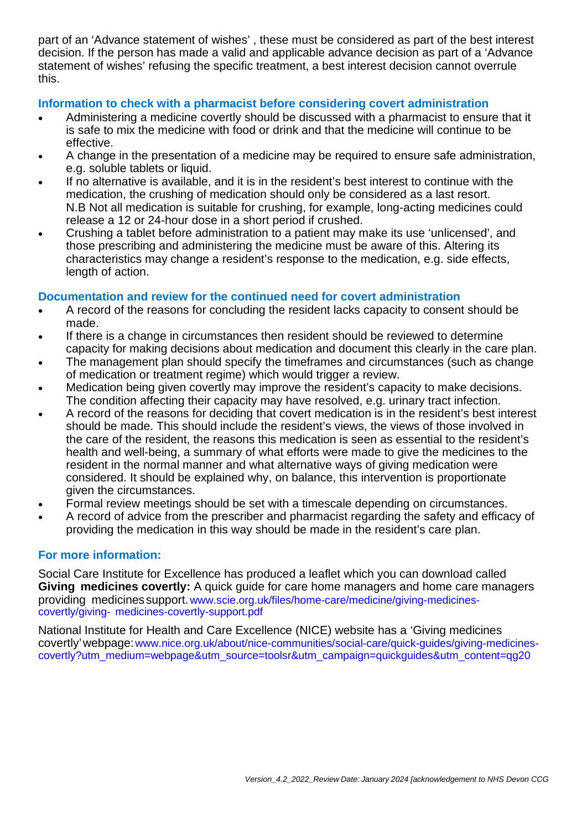part of an 'Advance statement of wishes' , these must be considered as part of the best interest decision. If the person has made a valid and applicable advance decision as part of a 'Advance statement of wishes' refusing the specific treatment, a best interest decision cannot overrule this.

# **Information to check with a pharmacist before considering covert administration**

- Administering a medicine covertly should be discussed with a pharmacist to ensure that it is safe to mix the medicine with food or drink and that the medicine will continue to be effective.
- A change in the presentation of a medicine may be required to ensure safe administration, e.g. soluble tablets or liquid.
- If no alternative is available, and it is in the resident's best interest to continue with the medication, the crushing of medication should only be considered as a last resort. N.B Not all medication is suitable for crushing, for example, long-acting medicines could release a 12 or 24-hour dose in a short period if crushed.
- Crushing a tablet before administration to a patient may make its use 'unlicensed', and those prescribing and administering the medicine must be aware of this. Altering its characteristics may change a resident's response to the medication, e.g. side effects, length of action.

# **Documentation and review for the continued need for covert administration**

- A record of the reasons for concluding the resident lacks capacity to consent should be made.
- If there is a change in circumstances then resident should be reviewed to determine capacity for making decisions about medication and document this clearly in the care plan.
- The management plan should specify the timeframes and circumstances (such as change of medication or treatment regime) which would trigger a review.
- Medication being given covertly may improve the resident's capacity to make decisions. The condition affecting their capacity may have resolved, e.g. urinary tract infection.
- A record of the reasons for deciding that covert medication is in the resident's best interest should be made. This should include the resident's views, the views of those involved in the care of the resident, the reasons this medication is seen as essential to the resident's health and well-being, a summary of what efforts were made to give the medicines to the resident in the normal manner and what alternative ways of giving medication were considered. It should be explained why, on balance, this intervention is proportionate given the circumstances.
- Formal review meetings should be set with a timescale depending on circumstances.
- A record of advice from the prescriber and pharmacist regarding the safety and efficacy of providing the medication in this way should be made in the resident's care plan.

# **For more information:**

Social Care Institute for Excellence has produced a leaflet which you can download called **Giving medicines covertly:** A quick guide for care home managers and home care managers providing medicinessupport[.www.scie.org.uk/files/home-care/medicine/giving-medicines](https://www.scie.org.uk/files/home-care/medicine/giving-medicines-covertly/giving-medicines-covertly-support.pdf)[covertly/giving-](https://www.scie.org.uk/files/home-care/medicine/giving-medicines-covertly/giving-medicines-covertly-support.pdf) [medicines-covertly-support.pdf](https://www.scie.org.uk/files/home-care/medicine/giving-medicines-covertly/giving-medicines-covertly-support.pdf)

National Institute for Health and Care Excellence (NICE) website has a 'Giving medicines covertly'webpage[:www.nice.org.uk/about/nice-communities/social-care/quick-guides/giving-medicines](https://www.nice.org.uk/about/nice-communities/social-care/quick-guides/giving-medicines-covertly?utm_medium=webpage&utm_source=toolsr&utm_campaign=quickguides&utm_content=qg20)[covertly?utm\\_medium=webpage&utm\\_source=toolsr&utm\\_campaign=quickguides&utm\\_content=qg20](https://www.nice.org.uk/about/nice-communities/social-care/quick-guides/giving-medicines-covertly?utm_medium=webpage&utm_source=toolsr&utm_campaign=quickguides&utm_content=qg20)